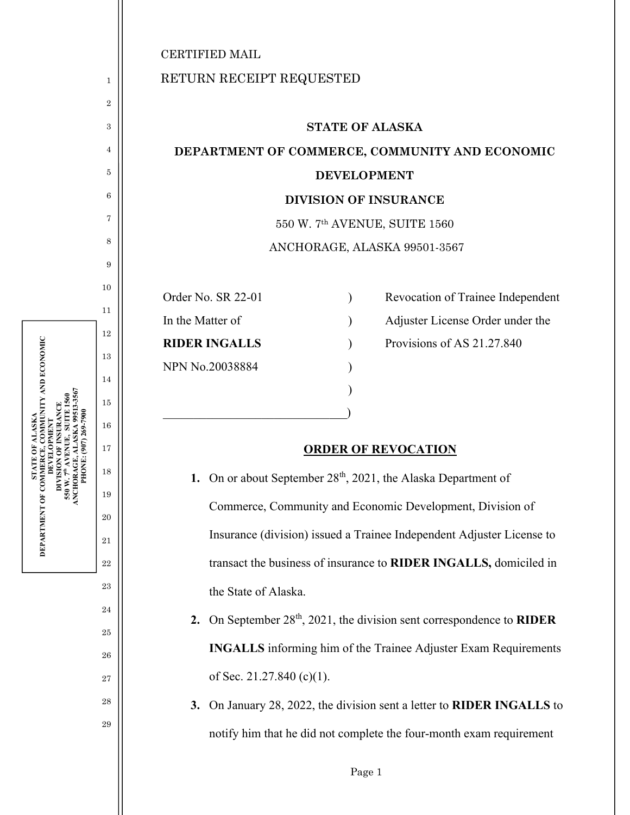1

2

3

4

5

6

7

8

9

10

11

12

13

14

15

16

17

**STATE OF ALASKA DEPARTMENT OF COMMERCE, COMMUNITY AND ECONOMIC DEVELOPMENT DIVISION OF INSURANCE 550 W. 7th AVENUE, SUITE 1560 ANCHORAGE, ALASKA 99513-3567 PHONE: (907) 269-7900** 

DEPARTMENT OF COMMERCE,

5

? ALASKA<br>, COMMUNITY AND ECONOMIC

18

19

20

21

22

23

24

25

26

27

28

29

## RETURN RECEIPT REQUESTED

## **STATE OF ALASKA DEPARTMENT OF COMMERCE, COMMUNITY AND ECONOMIC DEVELOPMENT DIVISION OF INSURANCE**  550 W. 7th AVENUE, SUITE 1560 ANCHORAGE, ALASKA 99501-3567

NPN No.20038884 )

 $)$ 

 $\qquad \qquad \Box$ 

Order No. SR 22-01 (a) Revocation of Trainee Independent

In the Matter of (a) Adjuster License Order under the

**RIDER INGALLS** ) Provisions of AS 21.27.840

## **ORDER OF REVOCATION**

**1.** On or about September 28<sup>th</sup>, 2021, the Alaska Department of Commerce, Community and Economic Development, Division of Insurance (division) issued a Trainee Independent Adjuster License to transact the business of insurance to **RIDER INGALLS,** domiciled in the State of Alaska.

- **2.** On September 28th, 2021, the division sent correspondence to **RIDER INGALLS** informing him of the Trainee Adjuster Exam Requirements of Sec. 21.27.840 (c)(1).
- **3.** On January 28, 2022, the division sent a letter to **RIDER INGALLS** to notify him that he did not complete the four-month exam requirement